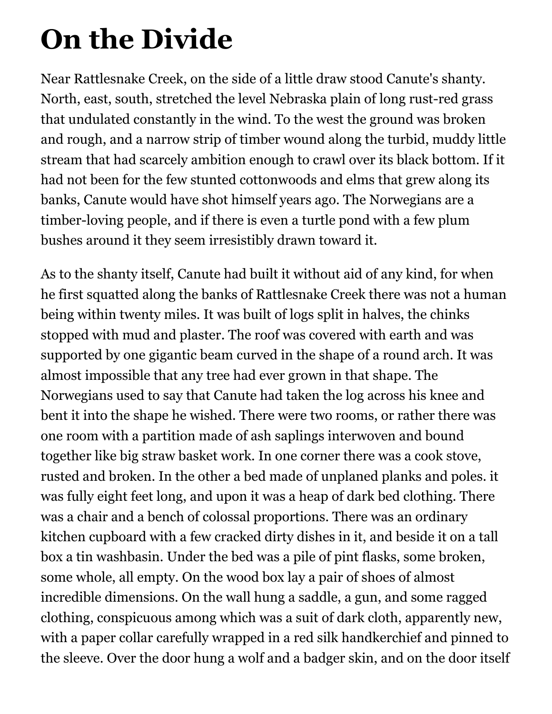## **On the Divide**

Near Rattlesnake Creek, on the side of a little draw stood Canute's shanty. North, east, south, stretched the level Nebraska plain of long rust-red grass that undulated constantly in the wind. To the west the ground was broken and rough, and a narrow strip of timber wound along the turbid, muddy little stream that had scarcely ambition enough to crawl over its black bottom. If it had not been for the few stunted cottonwoods and elms that grew along its banks, Canute would have shot himself years ago. The Norwegians are a timber-loving people, and if there is even a turtle pond with a few plum bushes around it they seem irresistibly drawn toward it.

As to the shanty itself, Canute had built it without aid of any kind, for when he first squatted along the banks of Rattlesnake Creek there was not a human being within twenty miles. It was built of logs split in halves, the chinks stopped with mud and plaster. The roof was covered with earth and was supported by one gigantic beam curved in the shape of a round arch. It was almost impossible that any tree had ever grown in that shape. The Norwegians used to say that Canute had taken the log across his knee and bent it into the shape he wished. There were two rooms, or rather there was one room with a partition made of ash saplings interwoven and bound together like big straw basket work. In one corner there was a cook stove, rusted and broken. In the other a bed made of unplaned planks and poles. it was fully eight feet long, and upon it was a heap of dark bed clothing. There was a chair and a bench of colossal proportions. There was an ordinary kitchen cupboard with a few cracked dirty dishes in it, and beside it on a tall box a tin washbasin. Under the bed was a pile of pint flasks, some broken, some whole, all empty. On the wood box lay a pair of shoes of almost incredible dimensions. On the wall hung a saddle, a gun, and some ragged clothing, conspicuous among which was a suit of dark cloth, apparently new, with a paper collar carefully wrapped in a red silk handkerchief and pinned to the sleeve. Over the door hung a wolf and a badger skin, and on the door itself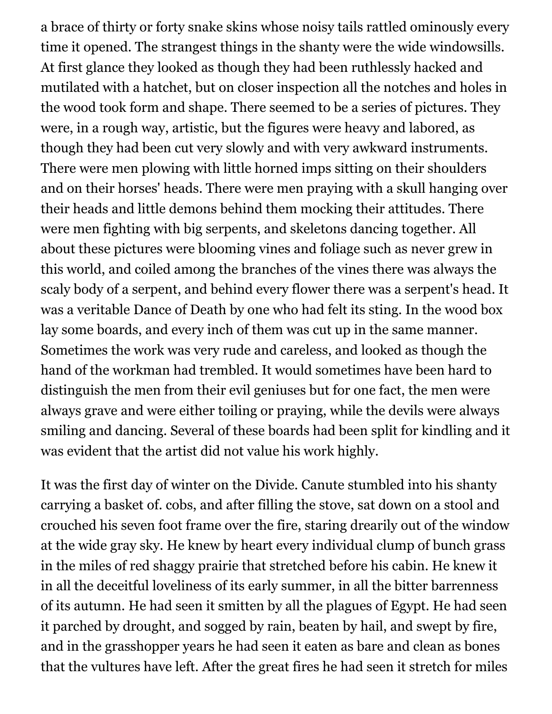a brace of thirty or forty snake skins whose noisy tails rattled ominously every time it opened. The strangest things in the shanty were the wide windowsills. At first glance they looked as though they had been ruthlessly hacked and mutilated with a hatchet, but on closer inspection all the notches and holes in the wood took form and shape. There seemed to be a series of pictures. They were, in a rough way, artistic, but the figures were heavy and labored, as though they had been cut very slowly and with very awkward instruments. There were men plowing with little horned imps sitting on their shoulders and on their horses' heads. There were men praying with a skull hanging over their heads and little demons behind them mocking their attitudes. There were men fighting with big serpents, and skeletons dancing together. All about these pictures were blooming vines and foliage such as never grew in this world, and coiled among the branches of the vines there was always the scaly body of a serpent, and behind every flower there was a serpent's head. It was a veritable Dance of Death by one who had felt its sting. In the wood box lay some boards, and every inch of them was cut up in the same manner. Sometimes the work was very rude and careless, and looked as though the hand of the workman had trembled. It would sometimes have been hard to distinguish the men from their evil geniuses but for one fact, the men were always grave and were either toiling or praying, while the devils were always smiling and dancing. Several of these boards had been split for kindling and it was evident that the artist did not value his work highly.

It was the first day of winter on the Divide. Canute stumbled into his shanty carrying a basket of. cobs, and after filling the stove, sat down on a stool and crouched his seven foot frame over the fire, staring drearily out of the window at the wide gray sky. He knew by heart every individual clump of bunch grass in the miles of red shaggy prairie that stretched before his cabin. He knew it in all the deceitful loveliness of its early summer, in all the bitter barrenness of its autumn. He had seen it smitten by all the plagues of Egypt. He had seen it parched by drought, and sogged by rain, beaten by hail, and swept by fire, and in the grasshopper years he had seen it eaten as bare and clean as bones that the vultures have left. After the great fires he had seen it stretch for miles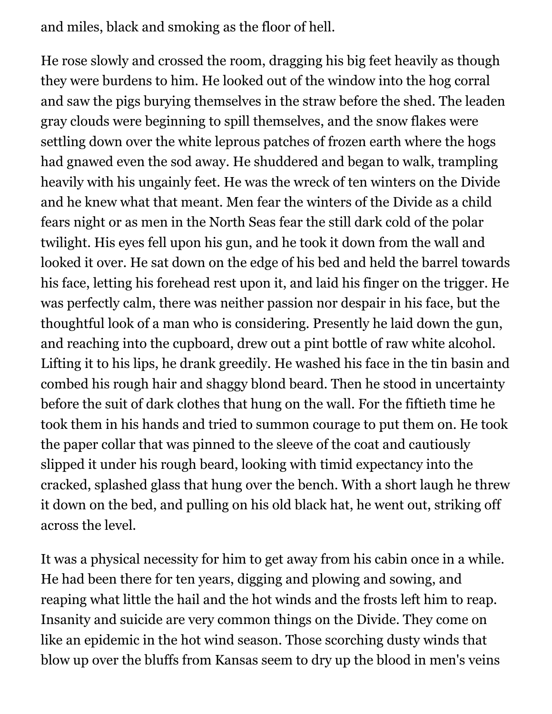and miles, black and smoking as the floor of hell.

He rose slowly and crossed the room, dragging his big feet heavily as though they were burdens to him. He looked out of the window into the hog corral and saw the pigs burying themselves in the straw before the shed. The leaden gray clouds were beginning to spill themselves, and the snow flakes were settling down over the white leprous patches of frozen earth where the hogs had gnawed even the sod away. He shuddered and began to walk, trampling heavily with his ungainly feet. He was the wreck of ten winters on the Divide and he knew what that meant. Men fear the winters of the Divide as a child fears night or as men in the North Seas fear the still dark cold of the polar twilight. His eyes fell upon his gun, and he took it down from the wall and looked it over. He sat down on the edge of his bed and held the barrel towards his face, letting his forehead rest upon it, and laid his finger on the trigger. He was perfectly calm, there was neither passion nor despair in his face, but the thoughtful look of a man who is considering. Presently he laid down the gun, and reaching into the cupboard, drew out a pint bottle of raw white alcohol. Lifting it to his lips, he drank greedily. He washed his face in the tin basin and combed his rough hair and shaggy blond beard. Then he stood in uncertainty before the suit of dark clothes that hung on the wall. For the fiftieth time he took them in his hands and tried to summon courage to put them on. He took the paper collar that was pinned to the sleeve of the coat and cautiously slipped it under his rough beard, looking with timid expectancy into the cracked, splashed glass that hung over the bench. With a short laugh he threw it down on the bed, and pulling on his old black hat, he went out, striking off across the level.

It was a physical necessity for him to get away from his cabin once in a while. He had been there for ten years, digging and plowing and sowing, and reaping what little the hail and the hot winds and the frosts left him to reap. Insanity and suicide are very common things on the Divide. They come on like an epidemic in the hot wind season. Those scorching dusty winds that blow up over the bluffs from Kansas seem to dry up the blood in men's veins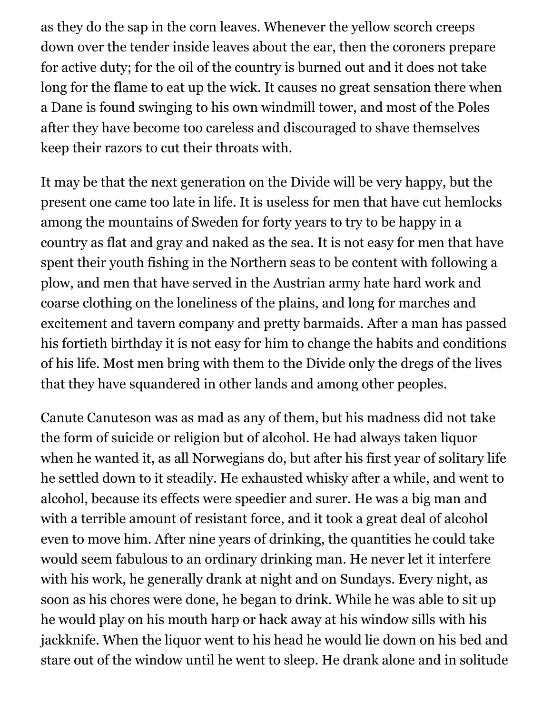as they do the sap in the corn leaves. Whenever the yellow scorch creeps down over the tender inside leaves about the ear, then the coroners prepare for active duty; for the oil of the country is burned out and it does not take long for the flame to eat up the wick. It causes no great sensation there when a Dane is found swinging to his own windmill tower, and most of the Poles after they have become too careless and discouraged to shave themselves keep their razors to cut their throats with.

It may be that the next generation on the Divide will be very happy, but the present one came too late in life. It is useless for men that have cut hemlocks among the mountains of Sweden for forty years to try to be happy in a country as flat and gray and naked as the sea. It is not easy for men that have spent their youth fishing in the Northern seas to be content with following a plow, and men that have served in the Austrian army hate hard work and coarse clothing on the loneliness of the plains, and long for marches and excitement and tavern company and pretty barmaids. After a man has passed his fortieth birthday it is not easy for him to change the habits and conditions of his life. Most men bring with them to the Divide only the dregs of the lives that they have squandered in other lands and among other peoples.

Canute Canuteson was as mad as any of them, but his madness did not take the form of suicide or religion but of alcohol. He had always taken liquor when he wanted it, as all Norwegians do, but after his first year of solitary life he settled down to it steadily. He exhausted whisky after a while, and went to alcohol, because its effects were speedier and surer. He was a big man and with a terrible amount of resistant force, and it took a great deal of alcohol even to move him. After nine years of drinking, the quantities he could take would seem fabulous to an ordinary drinking man. He never let it interfere with his work, he generally drank at night and on Sundays. Every night, as soon as his chores were done, he began to drink. While he was able to sit up he would play on his mouth harp or hack away at his window sills with his jackknife. When the liquor went to his head he would lie down on his bed and stare out of the window until he went to sleep. He drank alone and in solitude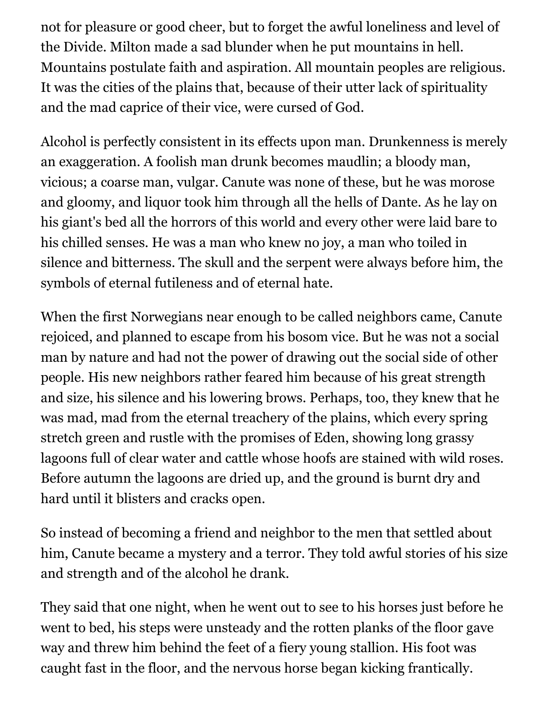not for pleasure or good cheer, but to forget the awful loneliness and level of the Divide. Milton made a sad blunder when he put mountains in hell. Mountains postulate faith and aspiration. All mountain peoples are religious. It was the cities of the plains that, because of their utter lack of spirituality and the mad caprice of their vice, were cursed of God.

Alcohol is perfectly consistent in its effects upon man. Drunkenness is merely an exaggeration. A foolish man drunk becomes maudlin; a bloody man, vicious; a coarse man, vulgar. Canute was none of these, but he was morose and gloomy, and liquor took him through all the hells of Dante. As he lay on his giant's bed all the horrors of this world and every other were laid bare to his chilled senses. He was a man who knew no joy, a man who toiled in silence and bitterness. The skull and the serpent were always before him, the symbols of eternal futileness and of eternal hate.

When the first Norwegians near enough to be called neighbors came, Canute rejoiced, and planned to escape from his bosom vice. But he was not a social man by nature and had not the power of drawing out the social side of other people. His new neighbors rather feared him because of his great strength and size, his silence and his lowering brows. Perhaps, too, they knew that he was mad, mad from the eternal treachery of the plains, which every spring stretch green and rustle with the promises of Eden, showing long grassy lagoons full of clear water and cattle whose hoofs are stained with wild roses. Before autumn the lagoons are dried up, and the ground is burnt dry and hard until it blisters and cracks open.

So instead of becoming a friend and neighbor to the men that settled about him, Canute became a mystery and a terror. They told awful stories of his size and strength and of the alcohol he drank.

They said that one night, when he went out to see to his horses just before he went to bed, his steps were unsteady and the rotten planks of the floor gave way and threw him behind the feet of a fiery young stallion. His foot was caught fast in the floor, and the nervous horse began kicking frantically.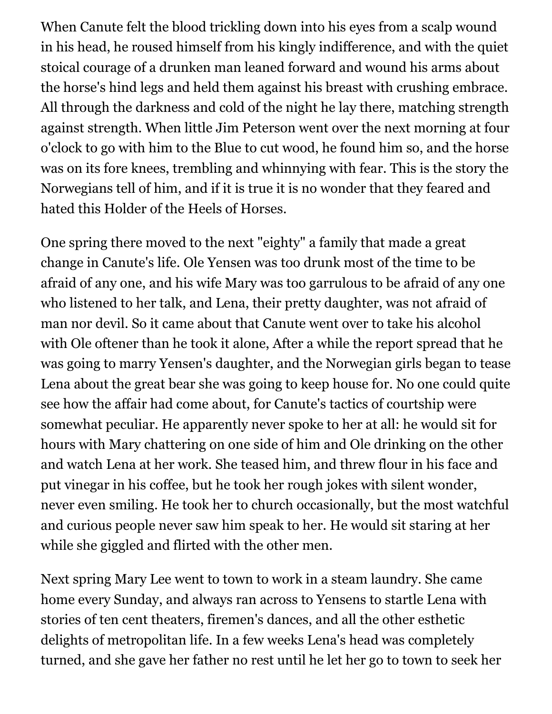When Canute felt the blood trickling down into his eyes from a scalp wound in his head, he roused himself from his kingly indifference, and with the quiet stoical courage of a drunken man leaned forward and wound his arms about the horse's hind legs and held them against his breast with crushing embrace. All through the darkness and cold of the night he lay there, matching strength against strength. When little Jim Peterson went over the next morning at four o'clock to go with him to the Blue to cut wood, he found him so, and the horse was on its fore knees, trembling and whinnying with fear. This is the story the Norwegians tell of him, and if it is true it is no wonder that they feared and hated this Holder of the Heels of Horses.

One spring there moved to the next "eighty" a family that made a great change in Canute's life. Ole Yensen was too drunk most of the time to be afraid of any one, and his wife Mary was too garrulous to be afraid of any one who listened to her talk, and Lena, their pretty daughter, was not afraid of man nor devil. So it came about that Canute went over to take his alcohol with Ole oftener than he took it alone, After a while the report spread that he was going to marry Yensen's daughter, and the Norwegian girls began to tease Lena about the great bear she was going to keep house for. No one could quite see how the affair had come about, for Canute's tactics of courtship were somewhat peculiar. He apparently never spoke to her at all: he would sit for hours with Mary chattering on one side of him and Ole drinking on the other and watch Lena at her work. She teased him, and threw flour in his face and put vinegar in his coffee, but he took her rough jokes with silent wonder, never even smiling. He took her to church occasionally, but the most watchful and curious people never saw him speak to her. He would sit staring at her while she giggled and flirted with the other men.

Next spring Mary Lee went to town to work in a steam laundry. She came home every Sunday, and always ran across to Yensens to startle Lena with stories of ten cent theaters, firemen's dances, and all the other esthetic delights of metropolitan life. In a few weeks Lena's head was completely turned, and she gave her father no rest until he let her go to town to seek her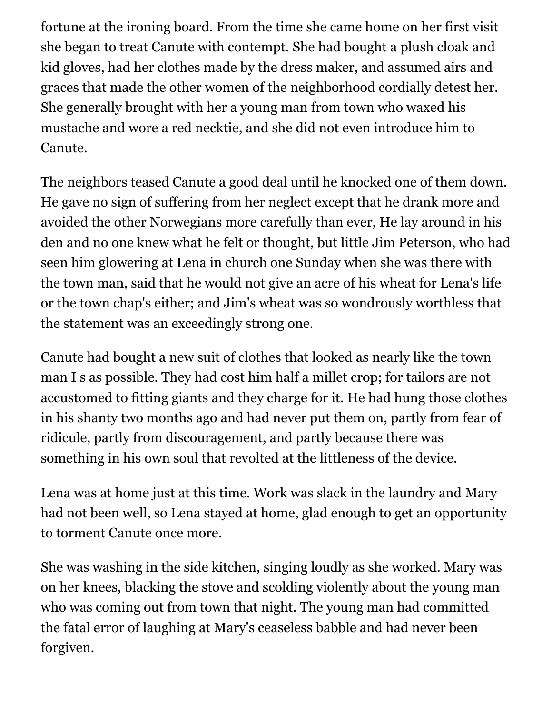fortune at the ironing board. From the time she came home on her first visit she began to treat Canute with contempt. She had bought a plush cloak and kid gloves, had her clothes made by the dress maker, and assumed airs and graces that made the other women of the neighborhood cordially detest her. She generally brought with her a young man from town who waxed his mustache and wore a red necktie, and she did not even introduce him to Canute.

The neighbors teased Canute a good deal until he knocked one of them down. He gave no sign of suffering from her neglect except that he drank more and avoided the other Norwegians more carefully than ever, He lay around in his den and no one knew what he felt or thought, but little Jim Peterson, who had seen him glowering at Lena in church one Sunday when she was there with the town man, said that he would not give an acre of his wheat for Lena's life or the town chap's either; and Jim's wheat was so wondrously worthless that the statement was an exceedingly strong one.

Canute had bought a new suit of clothes that looked as nearly like the town man I s as possible. They had cost him half a millet crop; for tailors are not accustomed to fitting giants and they charge for it. He had hung those clothes in his shanty two months ago and had never put them on, partly from fear of ridicule, partly from discouragement, and partly because there was something in his own soul that revolted at the littleness of the device.

Lena was at home just at this time. Work was slack in the laundry and Mary had not been well, so Lena stayed at home, glad enough to get an opportunity to torment Canute once more.

She was washing in the side kitchen, singing loudly as she worked. Mary was on her knees, blacking the stove and scolding violently about the young man who was coming out from town that night. The young man had committed the fatal error of laughing at Mary's ceaseless babble and had never been forgiven.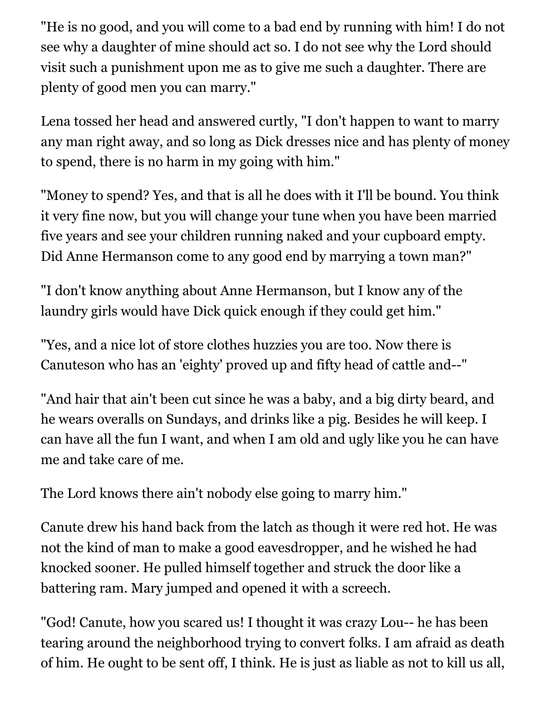"He is no good, and you will come to a bad end by running with him! I do not see why a daughter of mine should act so. I do not see why the Lord should visit such a punishment upon me as to give me such a daughter. There are plenty of good men you can marry."

Lena tossed her head and answered curtly, "I don't happen to want to marry any man right away, and so long as Dick dresses nice and has plenty of money to spend, there is no harm in my going with him."

"Money to spend? Yes, and that is all he does with it I'll be bound. You think it very fine now, but you will change your tune when you have been married five years and see your children running naked and your cupboard empty. Did Anne Hermanson come to any good end by marrying a town man?"

"I don't know anything about Anne Hermanson, but I know any of the laundry girls would have Dick quick enough if they could get him."

"Yes, and a nice lot of store clothes huzzies you are too. Now there is Canuteson who has an 'eighty' proved up and fifty head of cattle and--"

"And hair that ain't been cut since he was a baby, and a big dirty beard, and he wears overalls on Sundays, and drinks like a pig. Besides he will keep. I can have all the fun I want, and when I am old and ugly like you he can have me and take care of me.

The Lord knows there ain't nobody else going to marry him."

Canute drew his hand back from the latch as though it were red hot. He was not the kind of man to make a good eavesdropper, and he wished he had knocked sooner. He pulled himself together and struck the door like a battering ram. Mary jumped and opened it with a screech.

"God! Canute, how you scared us! I thought it was crazy Lou-- he has been tearing around the neighborhood trying to convert folks. I am afraid as death of him. He ought to be sent off, I think. He is just as liable as not to kill us all,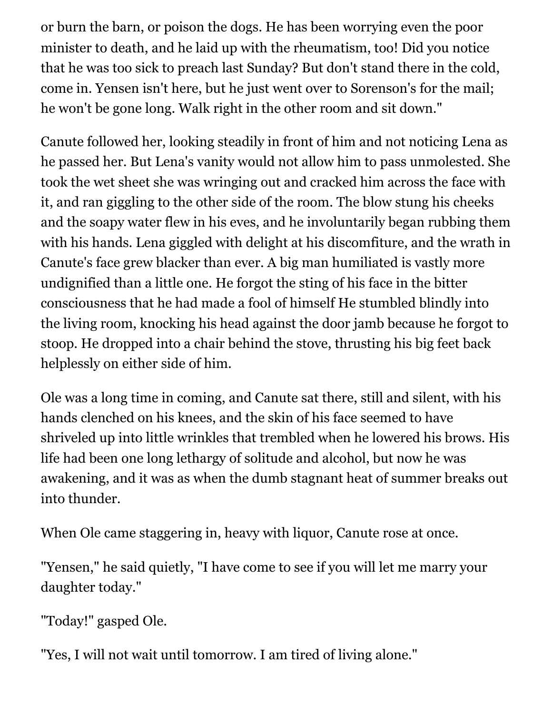or burn the barn, or poison the dogs. He has been worrying even the poor minister to death, and he laid up with the rheumatism, too! Did you notice that he was too sick to preach last Sunday? But don't stand there in the cold, come in. Yensen isn't here, but he just went over to Sorenson's for the mail; he won't be gone long. Walk right in the other room and sit down."

Canute followed her, looking steadily in front of him and not noticing Lena as he passed her. But Lena's vanity would not allow him to pass unmolested. She took the wet sheet she was wringing out and cracked him across the face with it, and ran giggling to the other side of the room. The blow stung his cheeks and the soapy water flew in his eves, and he involuntarily began rubbing them with his hands. Lena giggled with delight at his discomfiture, and the wrath in Canute's face grew blacker than ever. A big man humiliated is vastly more undignified than a little one. He forgot the sting of his face in the bitter consciousness that he had made a fool of himself He stumbled blindly into the living room, knocking his head against the door jamb because he forgot to stoop. He dropped into a chair behind the stove, thrusting his big feet back helplessly on either side of him.

Ole was a long time in coming, and Canute sat there, still and silent, with his hands clenched on his knees, and the skin of his face seemed to have shriveled up into little wrinkles that trembled when he lowered his brows. His life had been one long lethargy of solitude and alcohol, but now he was awakening, and it was as when the dumb stagnant heat of summer breaks out into thunder.

When Ole came staggering in, heavy with liquor, Canute rose at once.

"Yensen," he said quietly, "I have come to see if you will let me marry your daughter today."

"Today!" gasped Ole.

"Yes, I will not wait until tomorrow. I am tired of living alone."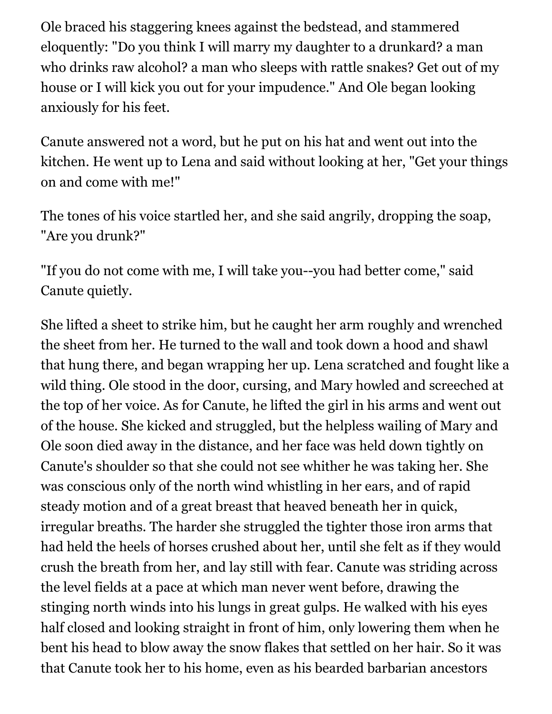Ole braced his staggering knees against the bedstead, and stammered eloquently: "Do you think I will marry my daughter to a drunkard? a man who drinks raw alcohol? a man who sleeps with rattle snakes? Get out of my house or I will kick you out for your impudence." And Ole began looking anxiously for his feet.

Canute answered not a word, but he put on his hat and went out into the kitchen. He went up to Lena and said without looking at her, "Get your things on and come with me!"

The tones of his voice startled her, and she said angrily, dropping the soap, "Are you drunk?"

"If you do not come with me, I will take you--you had better come," said Canute quietly.

She lifted a sheet to strike him, but he caught her arm roughly and wrenched the sheet from her. He turned to the wall and took down a hood and shawl that hung there, and began wrapping her up. Lena scratched and fought like a wild thing. Ole stood in the door, cursing, and Mary howled and screeched at the top of her voice. As for Canute, he lifted the girl in his arms and went out of the house. She kicked and struggled, but the helpless wailing of Mary and Ole soon died away in the distance, and her face was held down tightly on Canute's shoulder so that she could not see whither he was taking her. She was conscious only of the north wind whistling in her ears, and of rapid steady motion and of a great breast that heaved beneath her in quick, irregular breaths. The harder she struggled the tighter those iron arms that had held the heels of horses crushed about her, until she felt as if they would crush the breath from her, and lay still with fear. Canute was striding across the level fields at a pace at which man never went before, drawing the stinging north winds into his lungs in great gulps. He walked with his eyes half closed and looking straight in front of him, only lowering them when he bent his head to blow away the snow flakes that settled on her hair. So it was that Canute took her to his home, even as his bearded barbarian ancestors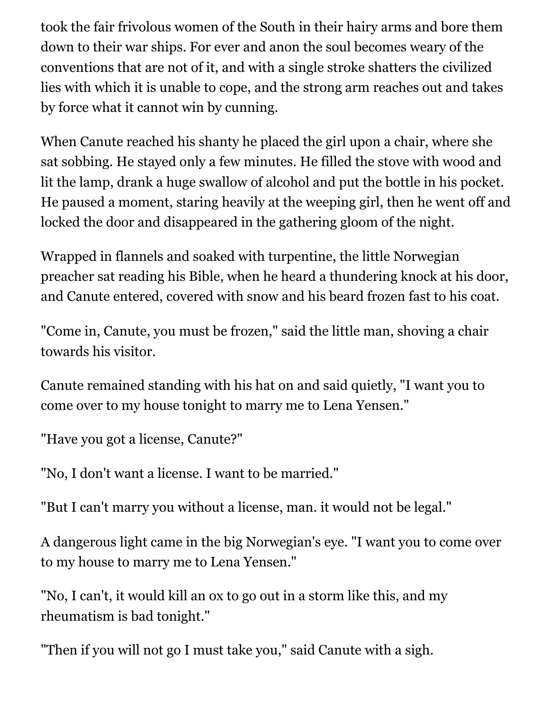took the fair frivolous women of the South in their hairy arms and bore them down to their war ships. For ever and anon the soul becomes weary of the conventions that are not of it, and with a single stroke shatters the civilized lies with which it is unable to cope, and the strong arm reaches out and takes by force what it cannot win by cunning.

When Canute reached his shanty he placed the girl upon a chair, where she sat sobbing. He stayed only a few minutes. He filled the stove with wood and lit the lamp, drank a huge swallow of alcohol and put the bottle in his pocket. He paused a moment, staring heavily at the weeping girl, then he went off and locked the door and disappeared in the gathering gloom of the night.

Wrapped in flannels and soaked with turpentine, the little Norwegian preacher sat reading his Bible, when he heard a thundering knock at his door, and Canute entered, covered with snow and his beard frozen fast to his coat.

"Come in, Canute, you must be frozen," said the little man, shoving a chair towards his visitor.

Canute remained standing with his hat on and said quietly, "I want you to come over to my house tonight to marry me to Lena Yensen."

"Have you got a license, Canute?"

"No, I don't want a license. I want to be married."

"But I can't marry you without a license, man. it would not be legal."

A dangerous light came in the big Norwegian's eye. "I want you to come over to my house to marry me to Lena Yensen."

"No, I can't, it would kill an ox to go out in a storm like this, and my rheumatism is bad tonight."

"Then if you will not go I must take you," said Canute with a sigh.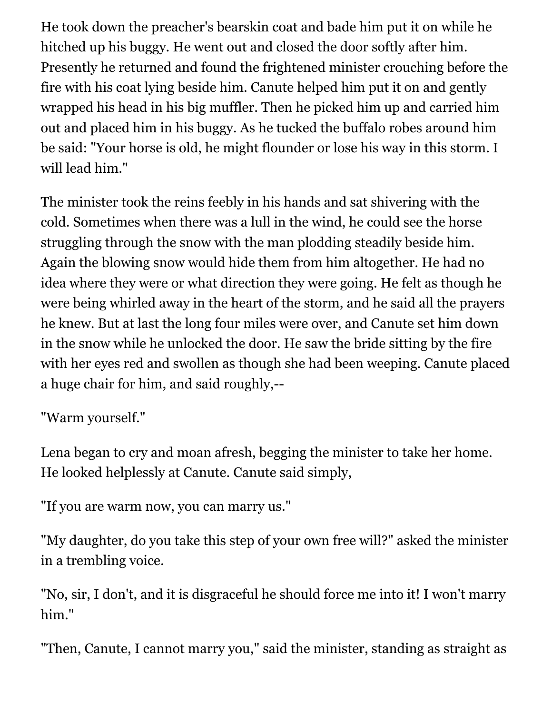He took down the preacher's bearskin coat and bade him put it on while he hitched up his buggy. He went out and closed the door softly after him. Presently he returned and found the frightened minister crouching before the fire with his coat lying beside him. Canute helped him put it on and gently wrapped his head in his big muffler. Then he picked him up and carried him out and placed him in his buggy. As he tucked the buffalo robes around him be said: "Your horse is old, he might flounder or lose his way in this storm. I will lead him."

The minister took the reins feebly in his hands and sat shivering with the cold. Sometimes when there was a lull in the wind, he could see the horse struggling through the snow with the man plodding steadily beside him. Again the blowing snow would hide them from him altogether. He had no idea where they were or what direction they were going. He felt as though he were being whirled away in the heart of the storm, and he said all the prayers he knew. But at last the long four miles were over, and Canute set him down in the snow while he unlocked the door. He saw the bride sitting by the fire with her eyes red and swollen as though she had been weeping. Canute placed a huge chair for him, and said roughly,--

"Warm yourself."

Lena began to cry and moan afresh, begging the minister to take her home. He looked helplessly at Canute. Canute said simply,

"If you are warm now, you can marry us."

"My daughter, do you take this step of your own free will?" asked the minister in a trembling voice.

"No, sir, I don't, and it is disgraceful he should force me into it! I won't marry him."

"Then, Canute, I cannot marry you," said the minister, standing as straight as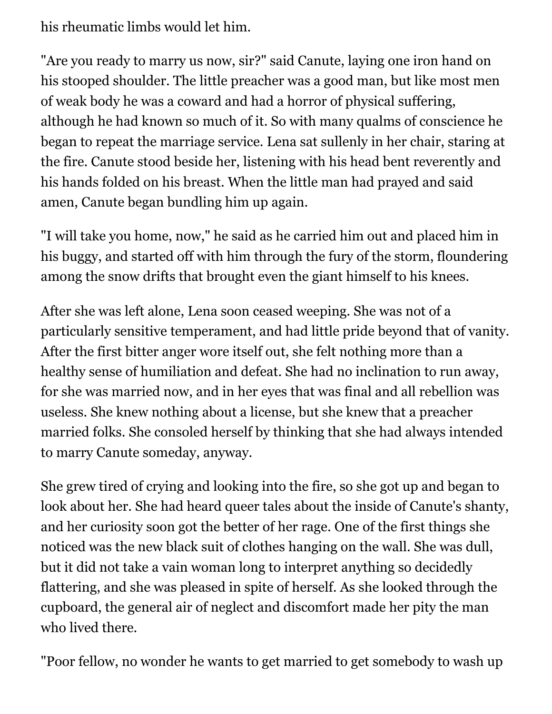his rheumatic limbs would let him.

"Are you ready to marry us now, sir?" said Canute, laying one iron hand on his stooped shoulder. The little preacher was a good man, but like most men of weak body he was a coward and had a horror of physical suffering, although he had known so much of it. So with many qualms of conscience he began to repeat the marriage service. Lena sat sullenly in her chair, staring at the fire. Canute stood beside her, listening with his head bent reverently and his hands folded on his breast. When the little man had prayed and said amen, Canute began bundling him up again.

"I will take you home, now," he said as he carried him out and placed him in his buggy, and started off with him through the fury of the storm, floundering among the snow drifts that brought even the giant himself to his knees.

After she was left alone, Lena soon ceased weeping. She was not of a particularly sensitive temperament, and had little pride beyond that of vanity. After the first bitter anger wore itself out, she felt nothing more than a healthy sense of humiliation and defeat. She had no inclination to run away, for she was married now, and in her eyes that was final and all rebellion was useless. She knew nothing about a license, but she knew that a preacher married folks. She consoled herself by thinking that she had always intended to marry Canute someday, anyway.

She grew tired of crying and looking into the fire, so she got up and began to look about her. She had heard queer tales about the inside of Canute's shanty, and her curiosity soon got the better of her rage. One of the first things she noticed was the new black suit of clothes hanging on the wall. She was dull, but it did not take a vain woman long to interpret anything so decidedly flattering, and she was pleased in spite of herself. As she looked through the cupboard, the general air of neglect and discomfort made her pity the man who lived there.

"Poor fellow, no wonder he wants to get married to get somebody to wash up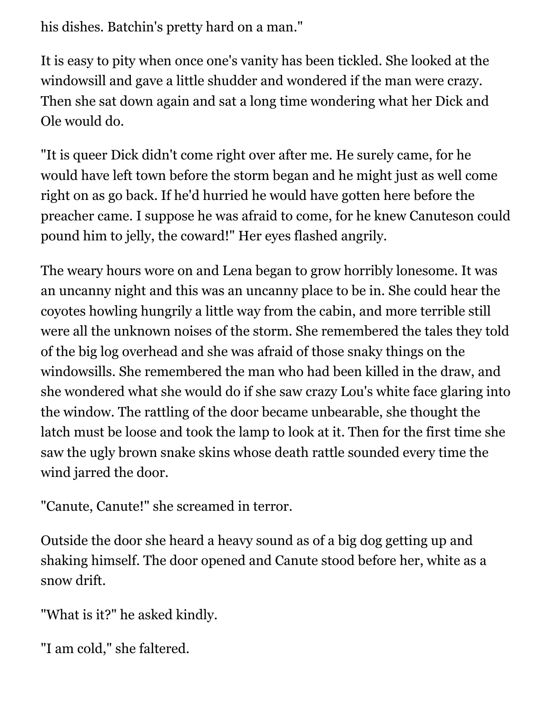his dishes. Batchin's pretty hard on a man."

It is easy to pity when once one's vanity has been tickled. She looked at the windowsill and gave a little shudder and wondered if the man were crazy. Then she sat down again and sat a long time wondering what her Dick and Ole would do.

"It is queer Dick didn't come right over after me. He surely came, for he would have left town before the storm began and he might just as well come right on as go back. If he'd hurried he would have gotten here before the preacher came. I suppose he was afraid to come, for he knew Canuteson could pound him to jelly, the coward!" Her eyes flashed angrily.

The weary hours wore on and Lena began to grow horribly lonesome. It was an uncanny night and this was an uncanny place to be in. She could hear the coyotes howling hungrily a little way from the cabin, and more terrible still were all the unknown noises of the storm. She remembered the tales they told of the big log overhead and she was afraid of those snaky things on the windowsills. She remembered the man who had been killed in the draw, and she wondered what she would do if she saw crazy Lou's white face glaring into the window. The rattling of the door became unbearable, she thought the latch must be loose and took the lamp to look at it. Then for the first time she saw the ugly brown snake skins whose death rattle sounded every time the wind jarred the door.

"Canute, Canute!" she screamed in terror.

Outside the door she heard a heavy sound as of a big dog getting up and shaking himself. The door opened and Canute stood before her, white as a snow drift.

"What is it?" he asked kindly.

"I am cold," she faltered.